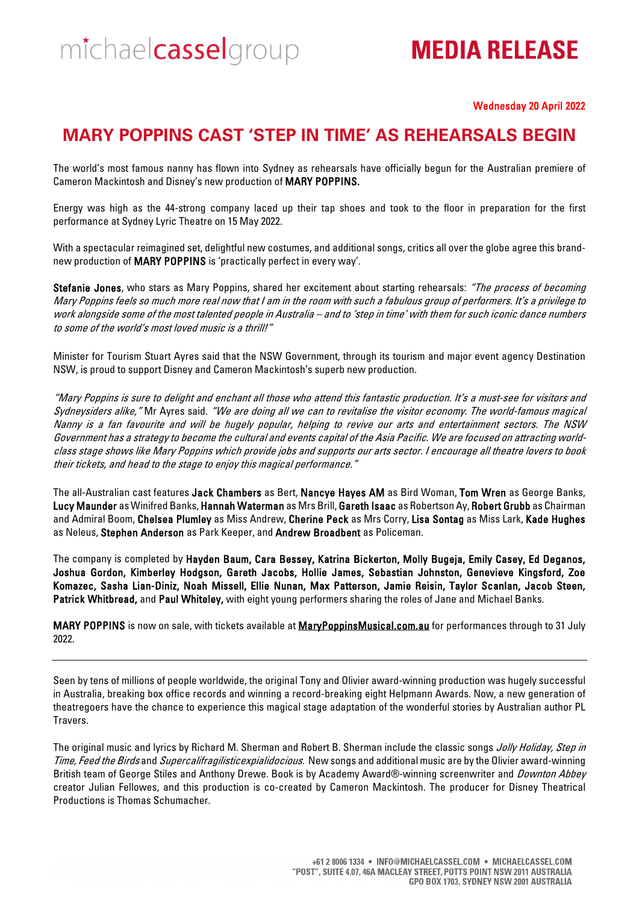# **MEDIA RELEASE**

#### Wednesday 20 April 2022

## **MARY POPPINS CAST 'STEP IN TIME' AS REHEARSALS BEGIN**

The world's most famous nanny has flown into Sydney as rehearsals have officially begun for the Australian premiere of Cameron Mackintosh and Disney's new production of MARY POPPINS.

Energy was high as the 44-strong company laced up their tap shoes and took to the floor in preparation for the first performance at Sydney Lyric Theatre on 15 May 2022.

With a spectacular reimagined set, delightful new costumes, and additional songs, critics all over the globe agree this brandnew production of MARY POPPINS is 'practically perfect in every way'.

Stefanie Jones, who stars as Mary Poppins, shared her excitement about starting rehearsals: "The process of becoming Mary Poppins feels so much more real now that I am in the room with such a fabulous group of performers. It's a privilege to work alongside some of the most talented people in Australia – and to 'step in time' with them for such iconic dance numbers to some of the world's most loved music is a thrill!"

Minister for Tourism Stuart Ayres said that the NSW Government, through its tourism and major event agency Destination NSW, is proud to support Disney and Cameron Mackintosh's superb new production.

"Mary Poppins is sure to delight and enchant all those who attend this fantastic production. It's a must-see for visitors and Sydneysiders alike," Mr Ayres said. "We are doing all we can to revitalise the visitor economy. The world-famous magical Nanny is a fan favourite and will be hugely popular, helping to revive our arts and entertainment sectors. The NSW Government has a strategy to become the cultural and events capital of the Asia Pacific. We are focused on attracting worldclass stage shows like Mary Poppins which provide jobs and supports our arts sector. I encourage all theatre lovers to book their tickets, and head to the stage to enjoy this magical performance."

The all-Australian cast features Jack Chambers as Bert, Nancye Hayes AM as Bird Woman, Tom Wren as George Banks, Lucy Maunder as Winifred Banks, Hannah Waterman as Mrs Brill, Gareth Isaac as Robertson Ay, Robert Grubb as Chairman and Admiral Boom, Chelsea Plumley as Miss Andrew, Cherine Peck as Mrs Corry, Lisa Sontag as Miss Lark, Kade Hughes as Neleus, Stephen Anderson as Park Keeper, and Andrew Broadbent as Policeman.

The company is completed by Hayden Baum, Cara Bessey, Katrina Bickerton, Molly Bugeja, Emily Casey, Ed Deganos, Joshua Gordon, Kimberley Hodgson, Gareth Jacobs, Hollie James, Sebastian Johnston, Genevieve Kingsford, Zoe Komazec, Sasha Lian-Diniz, Noah Missell, Ellie Nunan, Max Patterson, Jamie Reisin, Taylor Scanlan, Jacob Steen, Patrick Whitbread, and Paul Whiteley, with eight young performers sharing the roles of Jane and Michael Banks.

MARY POPPINS is now on sale, with tickets available at MaryPoppinsMusical.com.au for performances through to 31 July 2022.

Seen by tens of millions of people worldwide, the original Tony and Olivier award-winning production was hugely successful in Australia, breaking box office records and winning a record-breaking eight Helpmann Awards. Now, a new generation of theatregoers have the chance to experience this magical stage adaptation of the wonderful stories by Australian author PL Travers.

The original music and lyrics by Richard M. Sherman and Robert B. Sherman include the classic songs Jolly Holiday, Step in Time, Feed the Birds and Supercalifragilisticexpialidocious. New songs and additional music are by the Olivier award-winning British team of George Stiles and Anthony Drewe. Book is by Academy Award®-winning screenwriter and *Downton Abbey* creator Julian Fellowes, and this production is co-created by Cameron Mackintosh. The producer for Disney Theatrical Productions is Thomas Schumacher.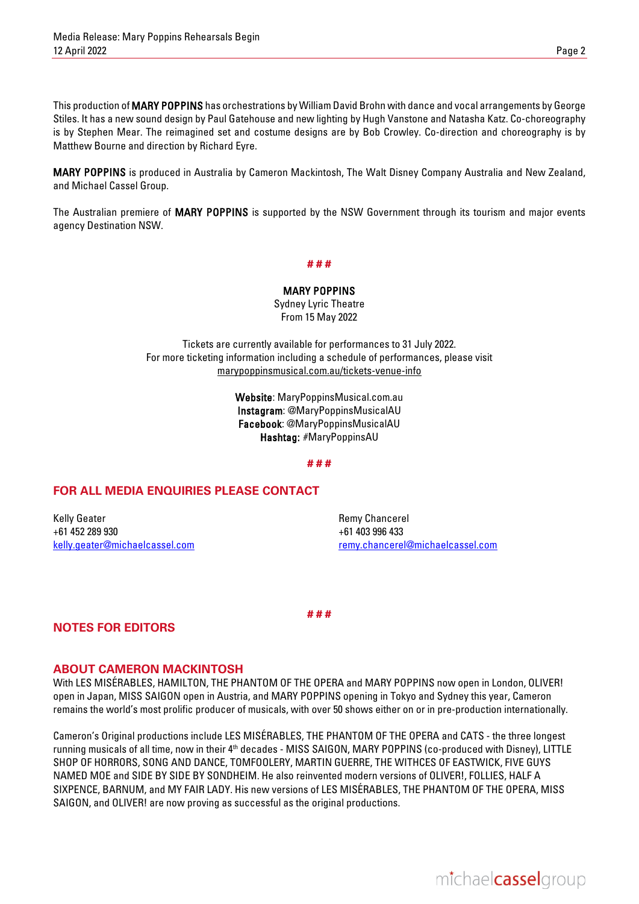This production of MARY POPPINS has orchestrations by William David Brohn with dance and vocal arrangements by George Stiles. It has a new sound design by Paul Gatehouse and new lighting by Hugh Vanstone and Natasha Katz. Co-choreography is by Stephen Mear. The reimagined set and costume designs are by Bob Crowley. Co-direction and choreography is by Matthew Bourne and direction by Richard Eyre.

MARY POPPINS is produced in Australia by Cameron Mackintosh, The Walt Disney Company Australia and New Zealand, and Michael Cassel Group.

The Australian premiere of MARY POPPINS is supported by the NSW Government through its tourism and major events agency Destination NSW.

#### **# # #**

MARY POPPINS Sydney Lyric Theatre From 15 May 2022

Tickets are currently available for performances to 31 July 2022. For more ticketing information including a schedule of performances, please visit [marypoppinsmusical.com.au/tickets-venue-info](https://marypoppinsmusical.com.au/tickets-venue-info)

> Website: MaryPoppinsMusical.com.au Instagram: @MaryPoppinsMusicalAU Facebook: @MaryPoppinsMusicalAU Hashtag: #MaryPoppinsAU

#### **# # #**

### **FOR ALL MEDIA ENQUIRIES PLEASE CONTACT**

Kelly Geater +61 452 289 930 [kelly.geater@michaelcassel.com](mailto:kelly.geater@michaelcassel.com)

Remy Chancerel +61 403 996 433 [remy.chancerel@michaelcassel.com](mailto:remy.chancerel@michaelcassel.com)

**# # #**

## **NOTES FOR EDITORS**

#### **ABOUT CAMERON MACKINTOSH**

With LES MISÉRABLES, HAMILTON, THE PHANTOM OF THE OPERA and MARY POPPINS now open in London, OLIVER! open in Japan, MISS SAIGON open in Austria, and MARY POPPINS opening in Tokyo and Sydney this year, Cameron remains the world's most prolific producer of musicals, with over 50 shows either on or in pre-production internationally.

Cameron's Original productions include LES MISÉRABLES, THE PHANTOM OF THE OPERA and CATS - the three longest running musicals of all time, now in their 4<sup>th</sup> decades - MISS SAIGON, MARY POPPINS (co-produced with Disney), LITTLE SHOP OF HORRORS, SONG AND DANCE, TOMFOOLERY, MARTIN GUERRE, THE WITHCES OF EASTWICK, FIVE GUYS NAMED MOE and SIDE BY SIDE BY SONDHEIM. He also reinvented modern versions of OLIVER!, FOLLIES, HALF A SIXPENCE, BARNUM, and MY FAIR LADY. His new versions of LES MISÉRABLES, THE PHANTOM OF THE OPERA, MISS SAIGON, and OLIVER! are now proving as successful as the original productions.

michaelcasselgroup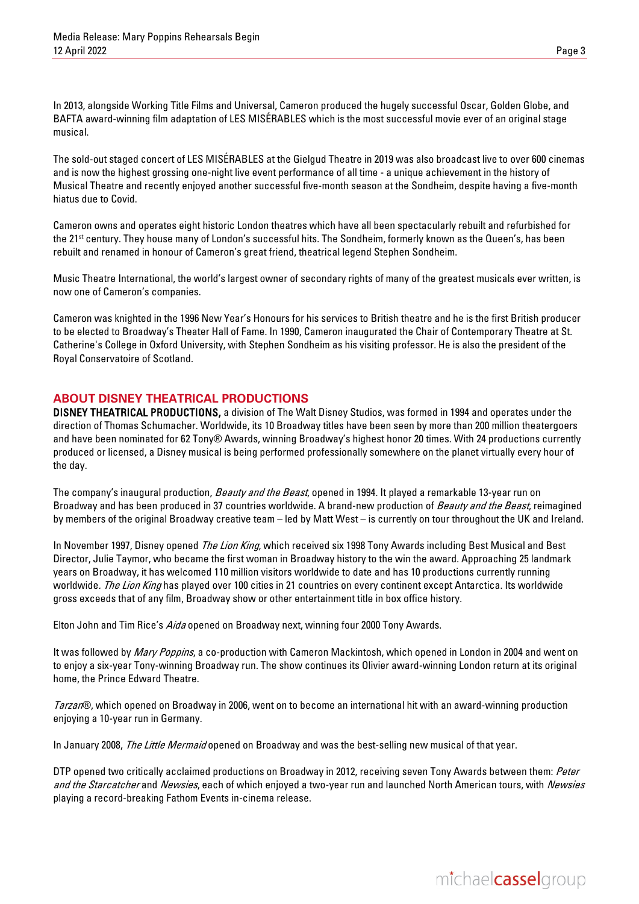In 2013, alongside Working Title Films and Universal, Cameron produced the hugely successful Oscar, Golden Globe, and BAFTA award-winning film adaptation of LES MISÉRABLES which is the most successful movie ever of an original stage musical.

The sold-out staged concert of LES MISÉRABLES at the Gielgud Theatre in 2019 was also broadcast live to over 600 cinemas and is now the highest grossing one-night live event performance of all time - a unique achievement in the history of Musical Theatre and recently enjoyed another successful five-month season at the Sondheim, despite having a five-month hiatus due to Covid.

Cameron owns and operates eight historic London theatres which have all been spectacularly rebuilt and refurbished for the 21st century. They house many of London's successful hits. The Sondheim, formerly known as the Queen's, has been rebuilt and renamed in honour of Cameron's great friend, theatrical legend Stephen Sondheim.

Music Theatre International, the world's largest owner of secondary rights of many of the greatest musicals ever written, is now one of Cameron's companies.

Cameron was knighted in the 1996 New Year's Honours for his services to British theatre and he is the first British producer to be elected to Broadway's Theater Hall of Fame. In 1990, Cameron inaugurated the Chair of Contemporary Theatre at St. Catherine's College in Oxford University, with Stephen Sondheim as his visiting professor. He is also the president of the Royal Conservatoire of Scotland.

## **ABOUT DISNEY THEATRICAL PRODUCTIONS**

DISNEY THEATRICAL PRODUCTIONS, a division of The Walt Disney Studios, was formed in 1994 and operates under the direction of Thomas Schumacher. Worldwide, its 10 Broadway titles have been seen by more than 200 million theatergoers and have been nominated for 62 Tony® Awards, winning Broadway's highest honor 20 times. With 24 productions currently produced or licensed, a Disney musical is being performed professionally somewhere on the planet virtually every hour of the day.

The company's inaugural production, *Beauty and the Beast*, opened in 1994. It played a remarkable 13-year run on Broadway and has been produced in 37 countries worldwide. A brand-new production of *Beauty and the Beast*, reimagined by members of the original Broadway creative team – led by Matt West – is currently on tour throughout the UK and Ireland.

In November 1997, Disney opened The Lion King, which received six 1998 Tony Awards including Best Musical and Best Director, Julie Taymor, who became the first woman in Broadway history to the win the award. Approaching 25 landmark years on Broadway, it has welcomed 110 million visitors worldwide to date and has 10 productions currently running worldwide. The Lion King has played over 100 cities in 21 countries on every continent except Antarctica. Its worldwide gross exceeds that of any film, Broadway show or other entertainment title in box office history.

Elton John and Tim Rice's Aida opened on Broadway next, winning four 2000 Tony Awards.

It was followed by *Mary Poppins*, a co-production with Cameron Mackintosh, which opened in London in 2004 and went on to enjoy a six-year Tony-winning Broadway run. The show continues its Olivier award-winning London return at its original home, the Prince Edward Theatre.

Tarzan®, which opened on Broadway in 2006, went on to become an international hit with an award-winning production enjoying a 10-year run in Germany.

In January 2008, The Little Mermaid opened on Broadway and was the best-selling new musical of that year.

DTP opened two critically acclaimed productions on Broadway in 2012, receiving seven Tony Awards between them: Peter and the Starcatcher and Newsies, each of which enjoyed a two-year run and launched North American tours, with Newsies playing a record-breaking Fathom Events in-cinema release.